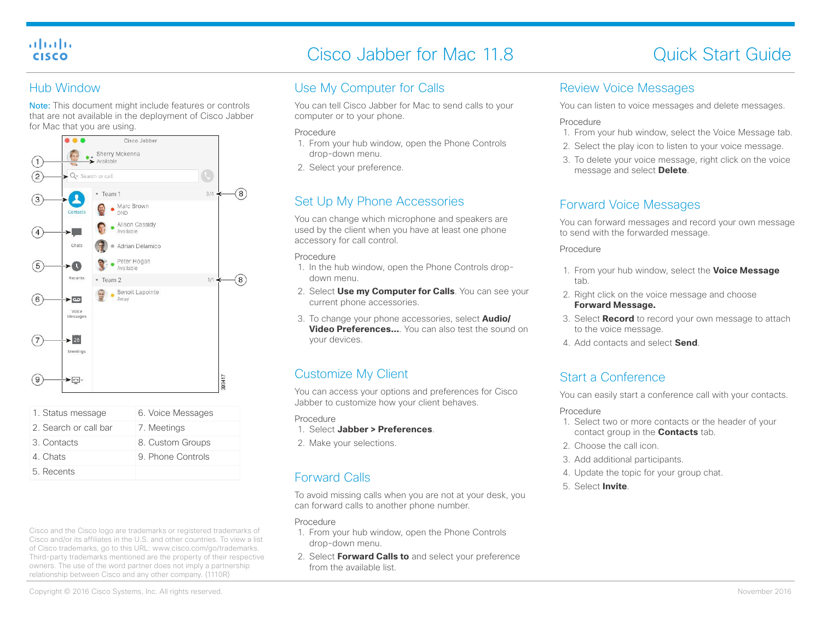#### ahaha **CISCO**

5. Recents

# Cisco Jabber for Mac 11.8 Cisco Jabber for Mac 11.8

#### Hub Window

Note: This document might include features or controls that are not available in the deployment of Cisco Jabber for Mac that you are using.



Cisco and the Cisco logo are trademarks or registered trademarks of Cisco and/or its affiliates in the U.S. and other countries. To view a list of Cisco trademarks, go to this URL: www.cisco.com/go/trademarks. Third-party trademarks mentioned are the property of their respective owners. The use of the word partner does not imply a partnership relationship between Cisco and any other company. (1110R)

## Use My Computer for Calls

You can tell Cisco Jabber for Mac to send calls to your computer or to your phone.

#### Procedure

- 1. From your hub window, open the Phone Controls drop-down menu.
- 2. Select your preference.

## Set Up My Phone Accessories

You can change which microphone and speakers are used by the client when you have at least one phone accessory for call control.

#### Procedure

- 1. In the hub window, open the Phone Controls dropdown menu.
- 2. Select **Use my Computer for Calls**. You can see your current phone accessories.
- 3. To change your phone accessories, select **Audio/ Video Preferences...** You can also test the sound on your devices.

## Customize My Client

You can access your options and preferences for Cisco Jabber to customize how your client behaves.

Procedure

- 1. Select **Jabber > Preferences**.
- 2. Make your selections.

## Forward Calls

To avoid missing calls when you are not at your desk, you can forward calls to another phone number.

#### Procedure

- 1. From your hub window, open the Phone Controls drop-down menu.
- 2. Select **Forward Calls to** and select your preference from the available list.

#### Review Voice Messages

You can listen to voice messages and delete messages.

#### Procedure

- 1. From your hub window, select the Voice Message tab.
- 2. Select the play icon to listen to your voice message.
- 3. To delete your voice message, right click on the voice message and select **Delete**.

#### Forward Voice Messages

You can forward messages and record your own message to send with the forwarded message.

#### Procedure

- 1. From your hub window, select the **Voice Message** tab.
- 2. Right click on the voice message and choose **Forward Message.**
- 3. Select **Record** to record your own message to attach to the voice message.
- 4. Add contacts and select **Send**.

## Start a Conference

You can easily start a conference call with your contacts.

#### Procedure

- 1. Select two or more contacts or the header of your contact group in the **Contacts** tab.
- 2. Choose the call icon.
- 3. Add additional participants.
- 4. Update the topic for your group chat.
- 5. Select **Invite**.